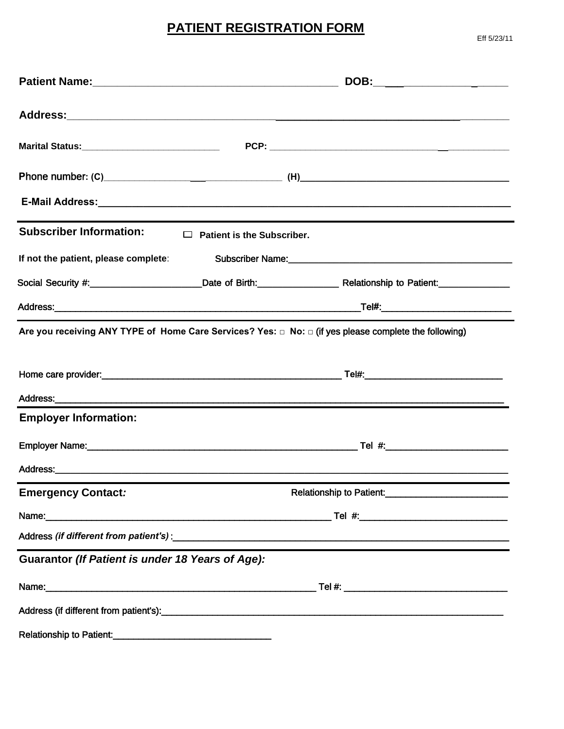# **PATIENT REGISTRATION FORM**

Eff 5/23/11

|                                                         |                                             | DOB:____________________                                                                                                               |  |  |  |  |
|---------------------------------------------------------|---------------------------------------------|----------------------------------------------------------------------------------------------------------------------------------------|--|--|--|--|
|                                                         |                                             |                                                                                                                                        |  |  |  |  |
|                                                         |                                             |                                                                                                                                        |  |  |  |  |
|                                                         |                                             |                                                                                                                                        |  |  |  |  |
|                                                         |                                             |                                                                                                                                        |  |  |  |  |
| <b>Subscriber Information:</b>                          | $\Box$<br><b>Patient is the Subscriber.</b> |                                                                                                                                        |  |  |  |  |
| If not the patient, please complete:                    |                                             |                                                                                                                                        |  |  |  |  |
|                                                         |                                             | Social Security #:_________________________Date of Birth:_________________________Relationship to Patient:____________________________ |  |  |  |  |
|                                                         |                                             |                                                                                                                                        |  |  |  |  |
|                                                         |                                             | Are you receiving ANY TYPE of Home Care Services? Yes: $\Box$ No: $\Box$ (if yes please complete the following)                        |  |  |  |  |
|                                                         |                                             |                                                                                                                                        |  |  |  |  |
|                                                         |                                             |                                                                                                                                        |  |  |  |  |
|                                                         |                                             |                                                                                                                                        |  |  |  |  |
| <b>Employer Information:</b>                            |                                             |                                                                                                                                        |  |  |  |  |
|                                                         |                                             |                                                                                                                                        |  |  |  |  |
|                                                         |                                             |                                                                                                                                        |  |  |  |  |
| <b>Emergency Contact:</b>                               |                                             | Relationship to Patient:                                                                                                               |  |  |  |  |
|                                                         |                                             |                                                                                                                                        |  |  |  |  |
|                                                         |                                             |                                                                                                                                        |  |  |  |  |
| <b>Guarantor (If Patient is under 18 Years of Age):</b> |                                             |                                                                                                                                        |  |  |  |  |
|                                                         |                                             |                                                                                                                                        |  |  |  |  |
|                                                         |                                             |                                                                                                                                        |  |  |  |  |
| Relationship to Patient:<br><u>Example 2001</u>         |                                             |                                                                                                                                        |  |  |  |  |